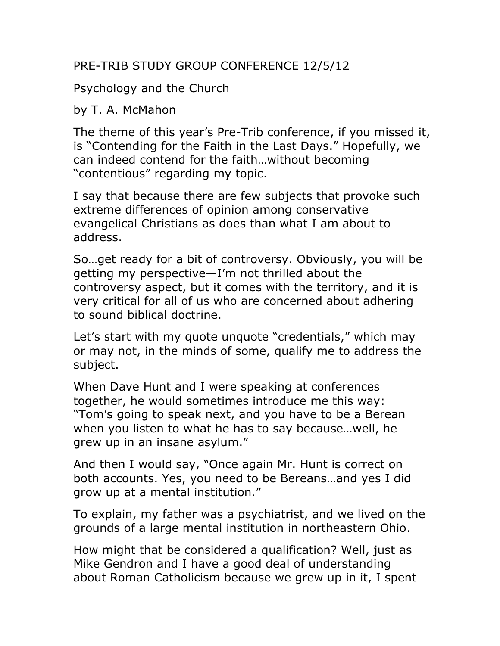## PRE-TRIB STUDY GROUP CONFERENCE 12/5/12

Psychology and the Church

## by T. A. McMahon

The theme of this year's Pre-Trib conference, if you missed it, is "Contending for the Faith in the Last Days." Hopefully, we can indeed contend for the faith…without becoming "contentious" regarding my topic.

I say that because there are few subjects that provoke such extreme differences of opinion among conservative evangelical Christians as does than what I am about to address.

So…get ready for a bit of controversy. Obviously, you will be getting my perspective—I'm not thrilled about the controversy aspect, but it comes with the territory, and it is very critical for all of us who are concerned about adhering to sound biblical doctrine.

Let's start with my quote unquote "credentials," which may or may not, in the minds of some, qualify me to address the subject.

When Dave Hunt and I were speaking at conferences together, he would sometimes introduce me this way: "Tom's going to speak next, and you have to be a Berean when you listen to what he has to say because…well, he grew up in an insane asylum."

And then I would say, "Once again Mr. Hunt is correct on both accounts. Yes, you need to be Bereans…and yes I did grow up at a mental institution."

To explain, my father was a psychiatrist, and we lived on the grounds of a large mental institution in northeastern Ohio.

How might that be considered a qualification? Well, just as Mike Gendron and I have a good deal of understanding about Roman Catholicism because we grew up in it, I spent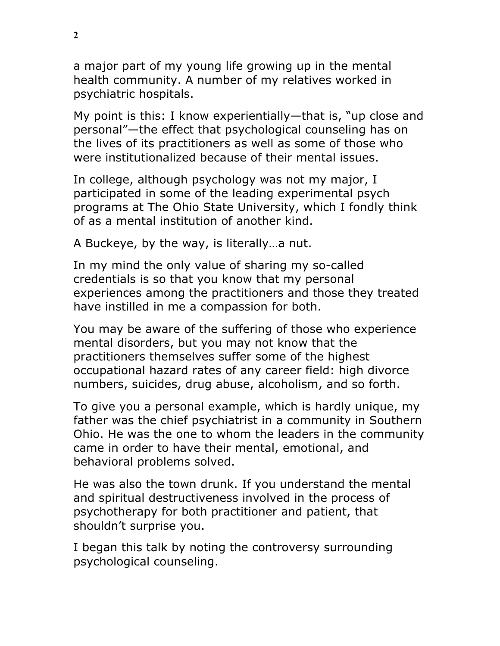a major part of my young life growing up in the mental health community. A number of my relatives worked in psychiatric hospitals.

My point is this: I know experientially—that is, "up close and personal"—the effect that psychological counseling has on the lives of its practitioners as well as some of those who were institutionalized because of their mental issues.

In college, although psychology was not my major, I participated in some of the leading experimental psych programs at The Ohio State University, which I fondly think of as a mental institution of another kind.

A Buckeye, by the way, is literally…a nut.

In my mind the only value of sharing my so-called credentials is so that you know that my personal experiences among the practitioners and those they treated have instilled in me a compassion for both.

You may be aware of the suffering of those who experience mental disorders, but you may not know that the practitioners themselves suffer some of the highest occupational hazard rates of any career field: high divorce numbers, suicides, drug abuse, alcoholism, and so forth.

To give you a personal example, which is hardly unique, my father was the chief psychiatrist in a community in Southern Ohio. He was the one to whom the leaders in the community came in order to have their mental, emotional, and behavioral problems solved.

He was also the town drunk. If you understand the mental and spiritual destructiveness involved in the process of psychotherapy for both practitioner and patient, that shouldn't surprise you.

I began this talk by noting the controversy surrounding psychological counseling.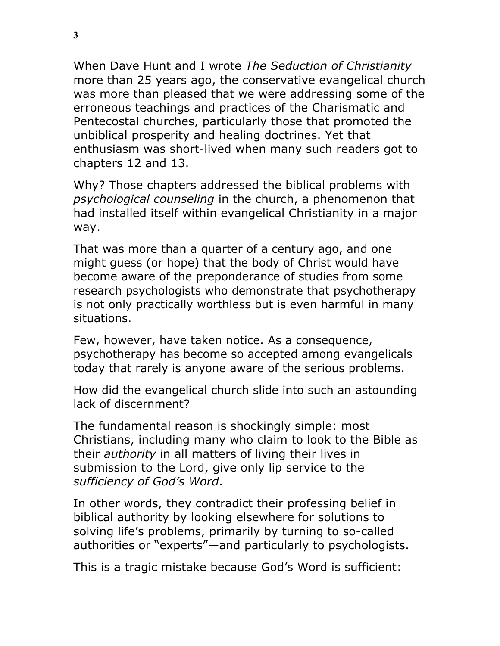When Dave Hunt and I wrote *The Seduction of Christianity* more than 25 years ago, the conservative evangelical church was more than pleased that we were addressing some of the erroneous teachings and practices of the Charismatic and Pentecostal churches, particularly those that promoted the unbiblical prosperity and healing doctrines. Yet that enthusiasm was short-lived when many such readers got to chapters 12 and 13.

Why? Those chapters addressed the biblical problems with *psychological counseling* in the church, a phenomenon that had installed itself within evangelical Christianity in a major way.

That was more than a quarter of a century ago, and one might guess (or hope) that the body of Christ would have become aware of the preponderance of studies from some research psychologists who demonstrate that psychotherapy is not only practically worthless but is even harmful in many situations.

Few, however, have taken notice. As a consequence, psychotherapy has become so accepted among evangelicals today that rarely is anyone aware of the serious problems.

How did the evangelical church slide into such an astounding lack of discernment?

The fundamental reason is shockingly simple: most Christians, including many who claim to look to the Bible as their *authority* in all matters of living their lives in submission to the Lord, give only lip service to the *sufficiency of God's Word*.

In other words, they contradict their professing belief in biblical authority by looking elsewhere for solutions to solving life's problems, primarily by turning to so-called authorities or "experts"—and particularly to psychologists.

This is a tragic mistake because God's Word is sufficient: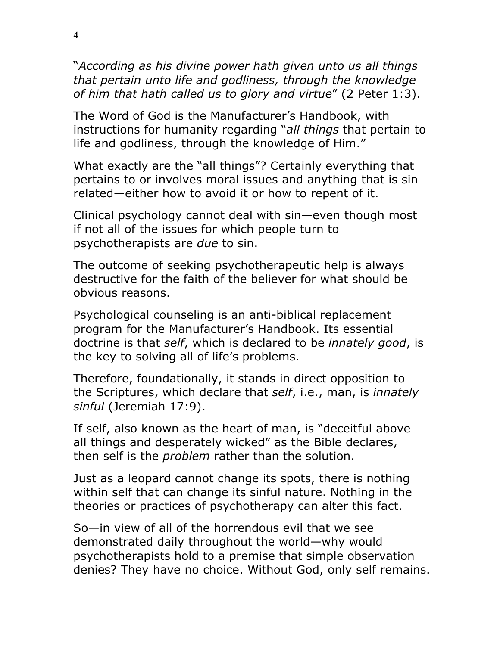"*According as his divine power hath given unto us all things that pertain unto life and godliness, through the knowledge of him that hath called us to glory and virtue*" (2 Peter 1:3).

The Word of God is the Manufacturer's Handbook, with instructions for humanity regarding "*all things* that pertain to life and godliness, through the knowledge of Him."

What exactly are the "all things"? Certainly everything that pertains to or involves moral issues and anything that is sin related—either how to avoid it or how to repent of it.

Clinical psychology cannot deal with sin—even though most if not all of the issues for which people turn to psychotherapists are *due* to sin.

The outcome of seeking psychotherapeutic help is always destructive for the faith of the believer for what should be obvious reasons.

Psychological counseling is an anti-biblical replacement program for the Manufacturer's Handbook. Its essential doctrine is that *self*, which is declared to be *innately good*, is the key to solving all of life's problems.

Therefore, foundationally, it stands in direct opposition to the Scriptures, which declare that *self*, i.e., man, is *innately sinful* (Jeremiah 17:9).

If self, also known as the heart of man, is "deceitful above all things and desperately wicked" as the Bible declares, then self is the *problem* rather than the solution.

Just as a leopard cannot change its spots, there is nothing within self that can change its sinful nature. Nothing in the theories or practices of psychotherapy can alter this fact.

So—in view of all of the horrendous evil that we see demonstrated daily throughout the world—why would psychotherapists hold to a premise that simple observation denies? They have no choice. Without God, only self remains.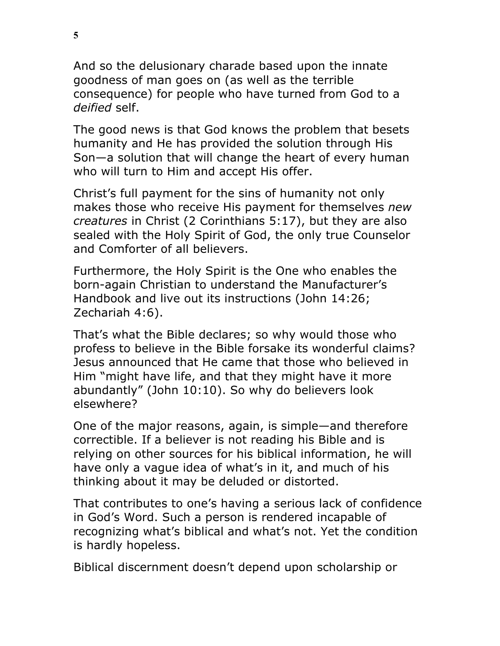And so the delusionary charade based upon the innate goodness of man goes on (as well as the terrible consequence) for people who have turned from God to a *deified* self.

The good news is that God knows the problem that besets humanity and He has provided the solution through His Son—a solution that will change the heart of every human who will turn to Him and accept His offer.

Christ's full payment for the sins of humanity not only makes those who receive His payment for themselves *new creatures* in Christ (2 Corinthians 5:17), but they are also sealed with the Holy Spirit of God, the only true Counselor and Comforter of all believers.

Furthermore, the Holy Spirit is the One who enables the born-again Christian to understand the Manufacturer's Handbook and live out its instructions (John 14:26; Zechariah 4:6).

That's what the Bible declares; so why would those who profess to believe in the Bible forsake its wonderful claims? Jesus announced that He came that those who believed in Him "might have life, and that they might have it more abundantly" (John 10:10). So why do believers look elsewhere?

One of the major reasons, again, is simple—and therefore correctible. If a believer is not reading his Bible and is relying on other sources for his biblical information, he will have only a vague idea of what's in it, and much of his thinking about it may be deluded or distorted.

That contributes to one's having a serious lack of confidence in God's Word. Such a person is rendered incapable of recognizing what's biblical and what's not. Yet the condition is hardly hopeless.

Biblical discernment doesn't depend upon scholarship or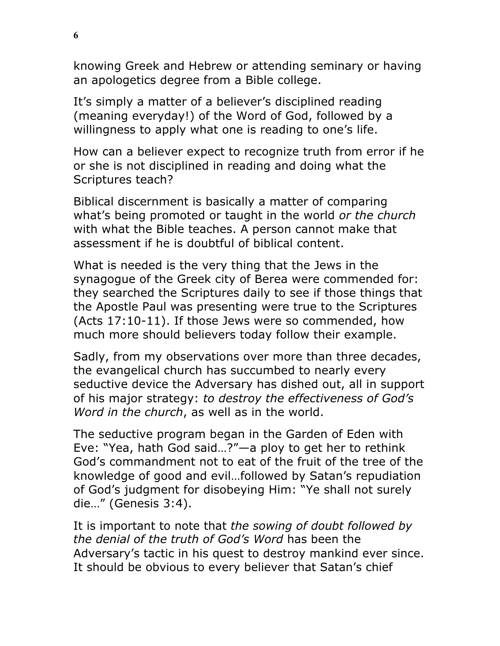knowing Greek and Hebrew or attending seminary or having an apologetics degree from a Bible college.

It's simply a matter of a believer's disciplined reading (meaning everyday!) of the Word of God, followed by a willingness to apply what one is reading to one's life.

How can a believer expect to recognize truth from error if he or she is not disciplined in reading and doing what the Scriptures teach?

Biblical discernment is basically a matter of comparing what's being promoted or taught in the world *or the church* with what the Bible teaches. A person cannot make that assessment if he is doubtful of biblical content.

What is needed is the very thing that the Jews in the synagogue of the Greek city of Berea were commended for: they searched the Scriptures daily to see if those things that the Apostle Paul was presenting were true to the Scriptures (Acts 17:10-11). If those Jews were so commended, how much more should believers today follow their example.

Sadly, from my observations over more than three decades, the evangelical church has succumbed to nearly every seductive device the Adversary has dished out, all in support of his major strategy: *to destroy the effectiveness of God's Word in the church*, as well as in the world.

The seductive program began in the Garden of Eden with Eve: "Yea, hath God said…?"—a ploy to get her to rethink God's commandment not to eat of the fruit of the tree of the knowledge of good and evil…followed by Satan's repudiation of God's judgment for disobeying Him: "Ye shall not surely die…" (Genesis 3:4).

It is important to note that *the sowing of doubt followed by the denial of the truth of God's Word* has been the Adversary's tactic in his quest to destroy mankind ever since. It should be obvious to every believer that Satan's chief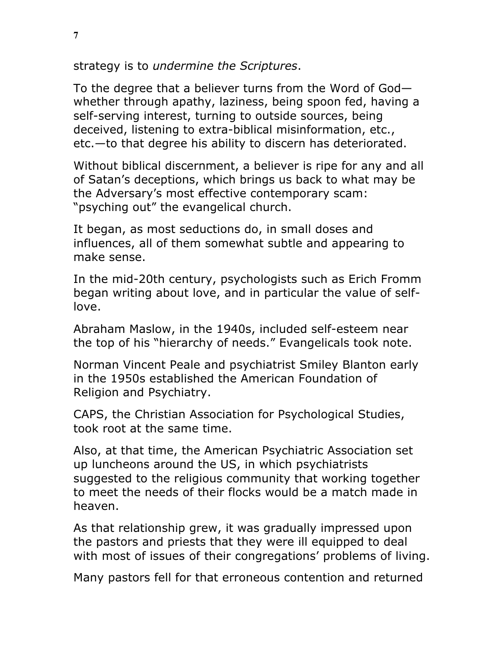strategy is to *undermine the Scriptures*.

To the degree that a believer turns from the Word of God whether through apathy, laziness, being spoon fed, having a self-serving interest, turning to outside sources, being deceived, listening to extra-biblical misinformation, etc., etc.—to that degree his ability to discern has deteriorated.

Without biblical discernment, a believer is ripe for any and all of Satan's deceptions, which brings us back to what may be the Adversary's most effective contemporary scam: "psyching out" the evangelical church.

It began, as most seductions do, in small doses and influences, all of them somewhat subtle and appearing to make sense.

In the mid-20th century, psychologists such as Erich Fromm began writing about love, and in particular the value of selflove.

Abraham Maslow, in the 1940s, included self-esteem near the top of his "hierarchy of needs." Evangelicals took note.

Norman Vincent Peale and psychiatrist Smiley Blanton early in the 1950s established the American Foundation of Religion and Psychiatry.

CAPS, the Christian Association for Psychological Studies, took root at the same time.

Also, at that time, the American Psychiatric Association set up luncheons around the US, in which psychiatrists suggested to the religious community that working together to meet the needs of their flocks would be a match made in heaven.

As that relationship grew, it was gradually impressed upon the pastors and priests that they were ill equipped to deal with most of issues of their congregations' problems of living.

Many pastors fell for that erroneous contention and returned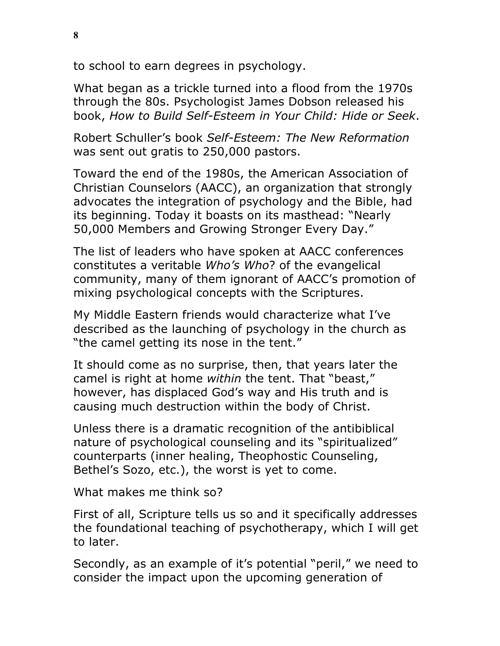to school to earn degrees in psychology.

What began as a trickle turned into a flood from the 1970s through the 80s. Psychologist James Dobson released his book, *How to Build Self-Esteem in Your Child: Hide or Seek*.

Robert Schuller's book *Self-Esteem: The New Reformation* was sent out gratis to 250,000 pastors.

Toward the end of the 1980s, the American Association of Christian Counselors (AACC), an organization that strongly advocates the integration of psychology and the Bible, had its beginning. Today it boasts on its masthead: "Nearly 50,000 Members and Growing Stronger Every Day."

The list of leaders who have spoken at AACC conferences constitutes a veritable *Who's Who*? of the evangelical community, many of them ignorant of AACC's promotion of mixing psychological concepts with the Scriptures.

My Middle Eastern friends would characterize what I've described as the launching of psychology in the church as "the camel getting its nose in the tent."

It should come as no surprise, then, that years later the camel is right at home *within* the tent. That "beast," however, has displaced God's way and His truth and is causing much destruction within the body of Christ.

Unless there is a dramatic recognition of the antibiblical nature of psychological counseling and its "spiritualized" counterparts (inner healing, Theophostic Counseling, Bethel's Sozo, etc.), the worst is yet to come.

What makes me think so?

First of all, Scripture tells us so and it specifically addresses the foundational teaching of psychotherapy, which I will get to later.

Secondly, as an example of it's potential "peril," we need to consider the impact upon the upcoming generation of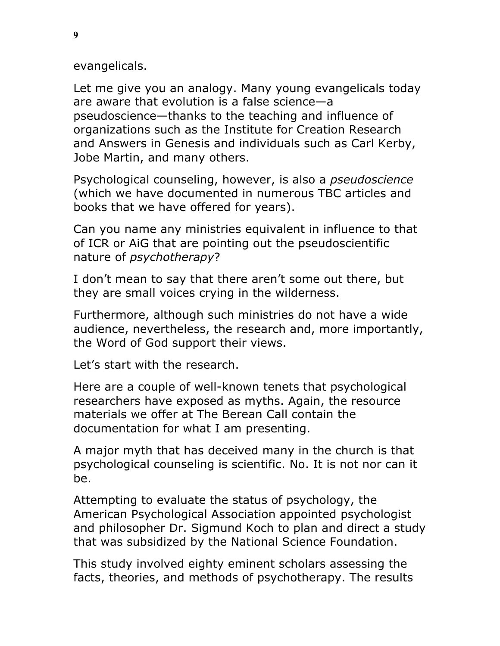evangelicals.

Let me give you an analogy. Many young evangelicals today are aware that evolution is a false science—a pseudoscience—thanks to the teaching and influence of organizations such as the Institute for Creation Research and Answers in Genesis and individuals such as Carl Kerby, Jobe Martin, and many others.

Psychological counseling, however, is also a *pseudoscience* (which we have documented in numerous TBC articles and books that we have offered for years).

Can you name any ministries equivalent in influence to that of ICR or AiG that are pointing out the pseudoscientific nature of *psychotherapy*?

I don't mean to say that there aren't some out there, but they are small voices crying in the wilderness.

Furthermore, although such ministries do not have a wide audience, nevertheless, the research and, more importantly, the Word of God support their views.

Let's start with the research.

Here are a couple of well-known tenets that psychological researchers have exposed as myths. Again, the resource materials we offer at The Berean Call contain the documentation for what I am presenting.

A major myth that has deceived many in the church is that psychological counseling is scientific. No. It is not nor can it be.

Attempting to evaluate the status of psychology, the American Psychological Association appointed psychologist and philosopher Dr. Sigmund Koch to plan and direct a study that was subsidized by the National Science Foundation.

This study involved eighty eminent scholars assessing the facts, theories, and methods of psychotherapy. The results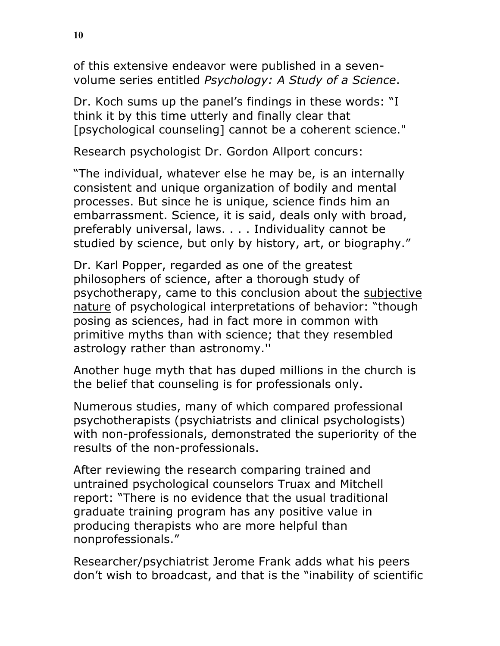of this extensive endeavor were published in a sevenvolume series entitled *Psychology: A Study of a Science*.

Dr. Koch sums up the panel's findings in these words: "I think it by this time utterly and finally clear that [psychological counseling] cannot be a coherent science."

Research psychologist Dr. Gordon Allport concurs:

"The individual, whatever else he may be, is an internally consistent and unique organization of bodily and mental processes. But since he is unique, science finds him an embarrassment. Science, it is said, deals only with broad, preferably universal, laws. . . . Individuality cannot be studied by science, but only by history, art, or biography."

Dr. Karl Popper, regarded as one of the greatest philosophers of science, after a thorough study of psychotherapy, came to this conclusion about the subjective nature of psychological interpretations of behavior: "though posing as sciences, had in fact more in common with primitive myths than with science; that they resembled astrology rather than astronomy.''

Another huge myth that has duped millions in the church is the belief that counseling is for professionals only.

Numerous studies, many of which compared professional psychotherapists (psychiatrists and clinical psychologists) with non-professionals, demonstrated the superiority of the results of the non-professionals.

After reviewing the research comparing trained and untrained psychological counselors Truax and Mitchell report: "There is no evidence that the usual traditional graduate training program has any positive value in producing therapists who are more helpful than nonprofessionals."

Researcher/psychiatrist Jerome Frank adds what his peers don't wish to broadcast, and that is the "inability of scientific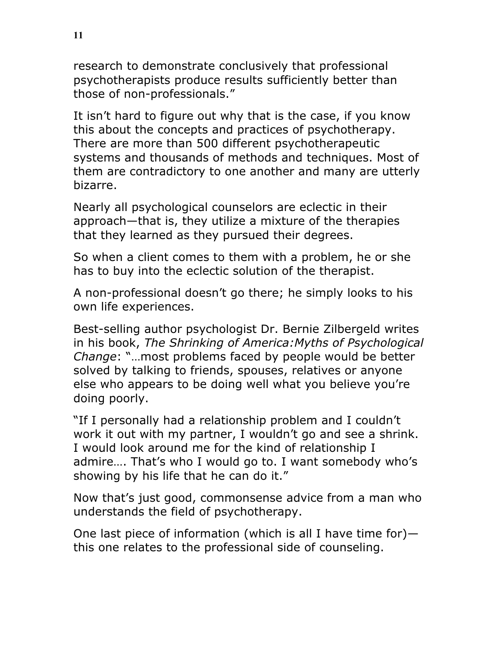research to demonstrate conclusively that professional psychotherapists produce results sufficiently better than those of non-professionals."

It isn't hard to figure out why that is the case, if you know this about the concepts and practices of psychotherapy. There are more than 500 different psychotherapeutic systems and thousands of methods and techniques. Most of them are contradictory to one another and many are utterly bizarre.

Nearly all psychological counselors are eclectic in their approach—that is, they utilize a mixture of the therapies that they learned as they pursued their degrees.

So when a client comes to them with a problem, he or she has to buy into the eclectic solution of the therapist.

A non-professional doesn't go there; he simply looks to his own life experiences.

Best-selling author psychologist Dr. Bernie Zilbergeld writes in his book, *The Shrinking of America:Myths of Psychological Change*: "…most problems faced by people would be better solved by talking to friends, spouses, relatives or anyone else who appears to be doing well what you believe you're doing poorly.

"If I personally had a relationship problem and I couldn't work it out with my partner, I wouldn't go and see a shrink. I would look around me for the kind of relationship I admire…. That's who I would go to. I want somebody who's showing by his life that he can do it."

Now that's just good, commonsense advice from a man who understands the field of psychotherapy.

One last piece of information (which is all I have time for) this one relates to the professional side of counseling.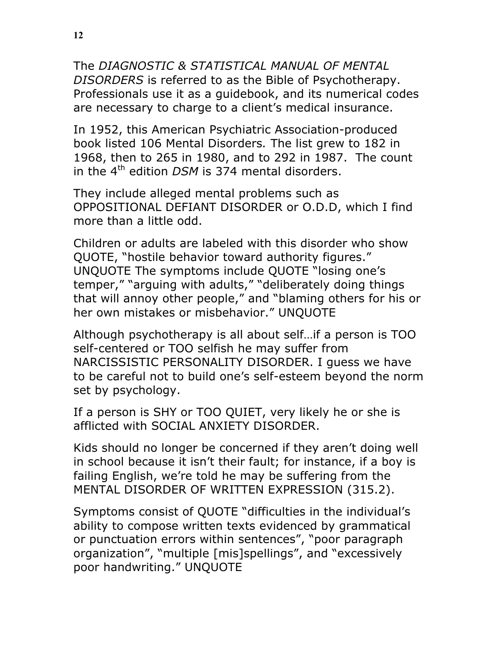The *DIAGNOSTIC & STATISTICAL MANUAL OF MENTAL DISORDERS* is referred to as the Bible of Psychotherapy. Professionals use it as a guidebook, and its numerical codes are necessary to charge to a client's medical insurance.

In 1952, this American Psychiatric Association-produced book listed 106 Mental Disorders*.* The list grew to 182 in 1968, then to 265 in 1980, and to 292 in 1987. The count in the 4<sup>th</sup> edition *DSM* is 374 mental disorders.

They include alleged mental problems such as OPPOSITIONAL DEFIANT DISORDER or O.D.D, which I find more than a little odd.

Children or adults are labeled with this disorder who show QUOTE, "hostile behavior toward authority figures." UNQUOTE The symptoms include QUOTE "losing one's temper," "arguing with adults," "deliberately doing things that will annoy other people," and "blaming others for his or her own mistakes or misbehavior." UNQUOTE

Although psychotherapy is all about self…if a person is TOO self-centered or TOO selfish he may suffer from NARCISSISTIC PERSONALITY DISORDER. I guess we have to be careful not to build one's self-esteem beyond the norm set by psychology.

If a person is SHY or TOO QUIET, very likely he or she is afflicted with SOCIAL ANXIETY DISORDER.

Kids should no longer be concerned if they aren't doing well in school because it isn't their fault; for instance, if a boy is failing English, we're told he may be suffering from the MENTAL DISORDER OF WRITTEN EXPRESSION (315.2).

Symptoms consist of QUOTE "difficulties in the individual's ability to compose written texts evidenced by grammatical or punctuation errors within sentences", "poor paragraph organization", "multiple [mis]spellings", and "excessively poor handwriting." UNQUOTE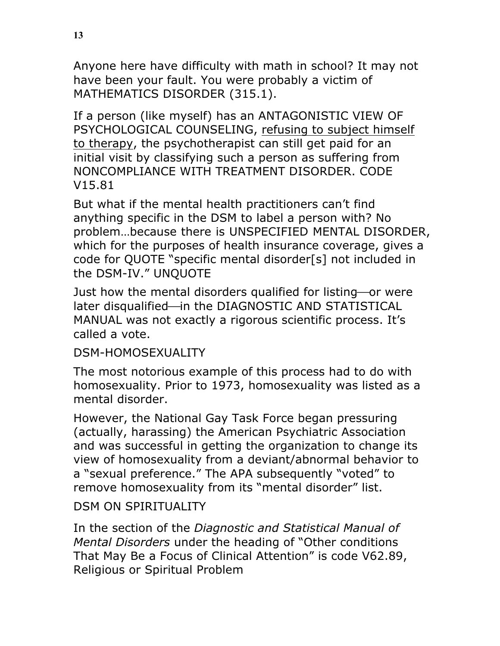Anyone here have difficulty with math in school? It may not have been your fault. You were probably a victim of MATHEMATICS DISORDER (315.1).

If a person (like myself) has an ANTAGONISTIC VIEW OF PSYCHOLOGICAL COUNSELING, refusing to subject himself to therapy, the psychotherapist can still get paid for an initial visit by classifying such a person as suffering from NONCOMPLIANCE WITH TREATMENT DISORDER. CODE V15.81

But what if the mental health practitioners can't find anything specific in the DSM to label a person with? No problem…because there is UNSPECIFIED MENTAL DISORDER, which for the purposes of health insurance coverage, gives a code for QUOTE "specific mental disorder[s] not included in the DSM-IV." UNQUOTE

Just how the mental disorders qualified for listing—or were later disqualified-in the DIAGNOSTIC AND STATISTICAL MANUAL was not exactly a rigorous scientific process. It's called a vote.

DSM-HOMOSEXUALITY

The most notorious example of this process had to do with homosexuality. Prior to 1973, homosexuality was listed as a mental disorder.

However, the National Gay Task Force began pressuring (actually, harassing) the American Psychiatric Association and was successful in getting the organization to change its view of homosexuality from a deviant/abnormal behavior to a "sexual preference." The APA subsequently "voted" to remove homosexuality from its "mental disorder" list.

DSM ON SPIRITUALITY

In the section of the *Diagnostic and Statistical Manual of Mental Disorders* under the heading of "Other conditions That May Be a Focus of Clinical Attention" is code V62.89, Religious or Spiritual Problem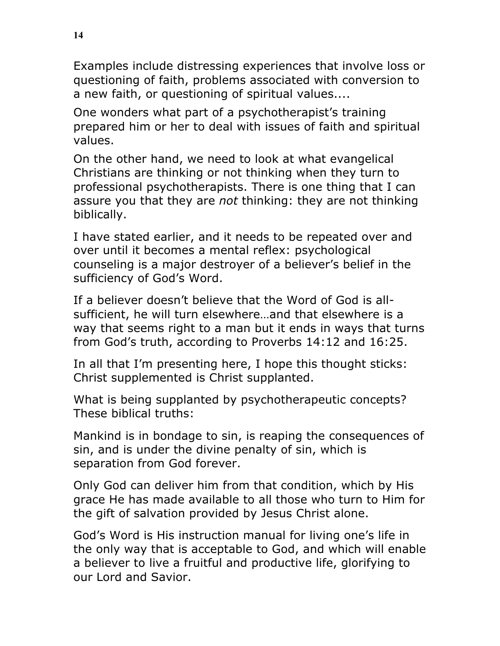Examples include distressing experiences that involve loss or questioning of faith, problems associated with conversion to a new faith, or questioning of spiritual values....

One wonders what part of a psychotherapist's training prepared him or her to deal with issues of faith and spiritual values.

On the other hand, we need to look at what evangelical Christians are thinking or not thinking when they turn to professional psychotherapists. There is one thing that I can assure you that they are *not* thinking: they are not thinking biblically.

I have stated earlier, and it needs to be repeated over and over until it becomes a mental reflex: psychological counseling is a major destroyer of a believer's belief in the sufficiency of God's Word.

If a believer doesn't believe that the Word of God is allsufficient, he will turn elsewhere…and that elsewhere is a way that seems right to a man but it ends in ways that turns from God's truth, according to Proverbs 14:12 and 16:25.

In all that I'm presenting here, I hope this thought sticks: Christ supplemented is Christ supplanted.

What is being supplanted by psychotherapeutic concepts? These biblical truths:

Mankind is in bondage to sin, is reaping the consequences of sin, and is under the divine penalty of sin, which is separation from God forever.

Only God can deliver him from that condition, which by His grace He has made available to all those who turn to Him for the gift of salvation provided by Jesus Christ alone.

God's Word is His instruction manual for living one's life in the only way that is acceptable to God, and which will enable a believer to live a fruitful and productive life, glorifying to our Lord and Savior.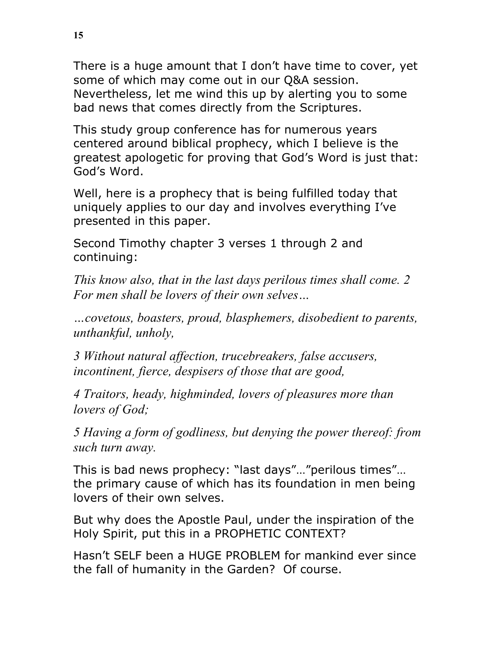There is a huge amount that I don't have time to cover, yet some of which may come out in our Q&A session. Nevertheless, let me wind this up by alerting you to some bad news that comes directly from the Scriptures.

This study group conference has for numerous years centered around biblical prophecy, which I believe is the greatest apologetic for proving that God's Word is just that: God's Word.

Well, here is a prophecy that is being fulfilled today that uniquely applies to our day and involves everything I've presented in this paper.

Second Timothy chapter 3 verses 1 through 2 and continuing:

*This know also, that in the last days perilous times shall come. 2 For men shall be lovers of their own selves…*

*…covetous, boasters, proud, blasphemers, disobedient to parents, unthankful, unholy,* 

*3 Without natural affection, trucebreakers, false accusers, incontinent, fierce, despisers of those that are good,* 

*4 Traitors, heady, highminded, lovers of pleasures more than lovers of God;* 

*5 Having a form of godliness, but denying the power thereof: from such turn away.*

This is bad news prophecy: "last days"…"perilous times"… the primary cause of which has its foundation in men being lovers of their own selves.

But why does the Apostle Paul, under the inspiration of the Holy Spirit, put this in a PROPHETIC CONTEXT?

Hasn't SELF been a HUGE PROBLEM for mankind ever since the fall of humanity in the Garden? Of course.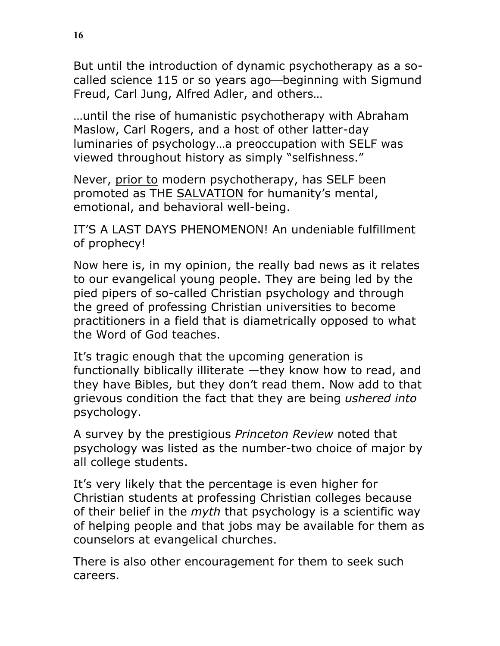But until the introduction of dynamic psychotherapy as a socalled science 115 or so years ago—beginning with Sigmund Freud, Carl Jung, Alfred Adler, and others…

…until the rise of humanistic psychotherapy with Abraham Maslow, Carl Rogers, and a host of other latter-day luminaries of psychology…a preoccupation with SELF was viewed throughout history as simply "selfishness."

Never, prior to modern psychotherapy, has SELF been promoted as THE SALVATION for humanity's mental, emotional, and behavioral well-being.

IT'S A LAST DAYS PHENOMENON! An undeniable fulfillment of prophecy!

Now here is, in my opinion, the really bad news as it relates to our evangelical young people. They are being led by the pied pipers of so-called Christian psychology and through the greed of professing Christian universities to become practitioners in a field that is diametrically opposed to what the Word of God teaches.

It's tragic enough that the upcoming generation is functionally biblically illiterate —they know how to read, and they have Bibles, but they don't read them. Now add to that grievous condition the fact that they are being *ushered into* psychology.

A survey by the prestigious *Princeton Review* noted that psychology was listed as the number-two choice of major by all college students.

It's very likely that the percentage is even higher for Christian students at professing Christian colleges because of their belief in the *myth* that psychology is a scientific way of helping people and that jobs may be available for them as counselors at evangelical churches.

There is also other encouragement for them to seek such careers.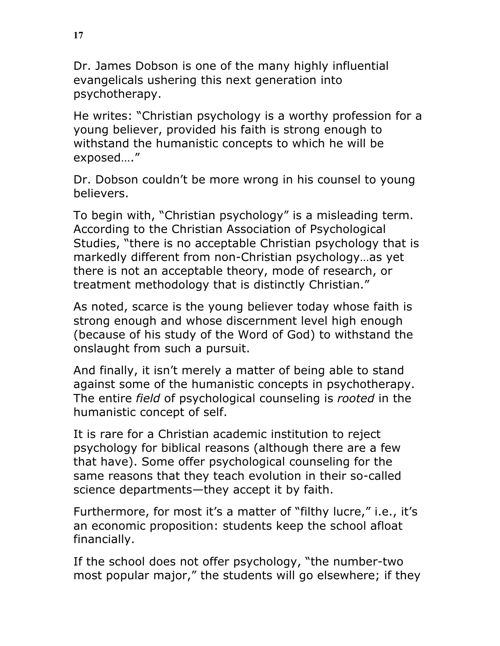Dr. James Dobson is one of the many highly influential evangelicals ushering this next generation into psychotherapy.

He writes: "Christian psychology is a worthy profession for a young believer, provided his faith is strong enough to withstand the humanistic concepts to which he will be exposed…."

Dr. Dobson couldn't be more wrong in his counsel to young believers.

To begin with, "Christian psychology" is a misleading term. According to the Christian Association of Psychological Studies, "there is no acceptable Christian psychology that is markedly different from non-Christian psychology…as yet there is not an acceptable theory, mode of research, or treatment methodology that is distinctly Christian."

As noted, scarce is the young believer today whose faith is strong enough and whose discernment level high enough (because of his study of the Word of God) to withstand the onslaught from such a pursuit.

And finally, it isn't merely a matter of being able to stand against some of the humanistic concepts in psychotherapy. The entire *field* of psychological counseling is *rooted* in the humanistic concept of self.

It is rare for a Christian academic institution to reject psychology for biblical reasons (although there are a few that have). Some offer psychological counseling for the same reasons that they teach evolution in their so-called science departments—they accept it by faith.

Furthermore, for most it's a matter of "filthy lucre," i.e., it's an economic proposition: students keep the school afloat financially.

If the school does not offer psychology, "the number-two most popular major," the students will go elsewhere; if they